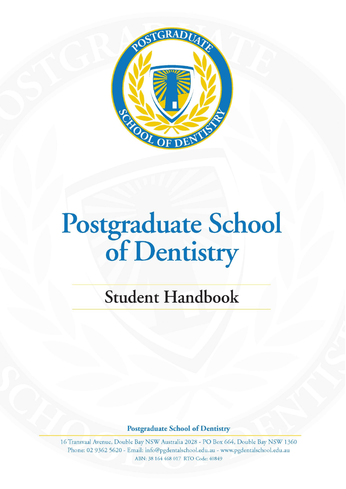

# $T_1$  Poster School of  $P_1$ *Dentistry*

## *Student Handbook*

### **Postgraduate School of Dentistry**

16 Transvaal Avenue, Double Bay NSW Australia 2028 - PO Box 664, Double Bay NSW 1360<br>Phone: 02 9362 5620 - Email: info@pgdentalschool.edu.au - www.pgdentalschool.edu.au ABN: 38 164 468 017 RTO Code: 40849 **16 Transvaal Avenue, Double Bay NSW Australia 2028**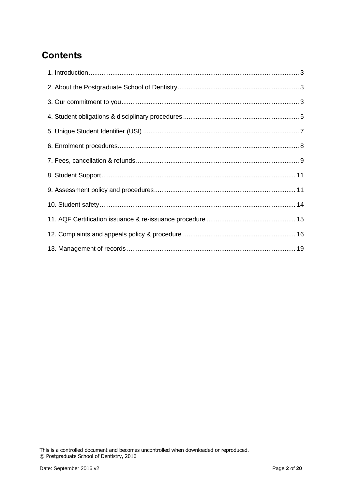### **Contents**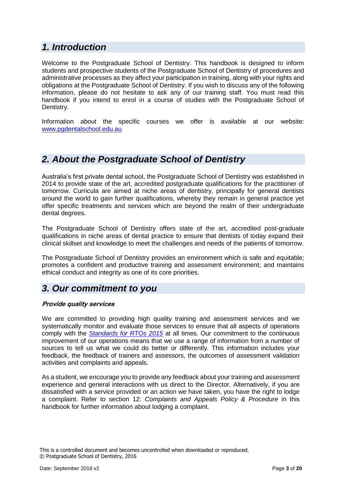### <span id="page-2-0"></span>*1. Introduction*

Welcome to the Postgraduate School of Dentistry. This handbook is designed to inform students and prospective students of the Postgraduate School of Dentistry of procedures and administrative processes as they affect your participation in training, along with your rights and obligations at the Postgraduate School of Dentistry. If you wish to discuss any of the following information, please do not hesitate to ask any of our training staff. You must read this handbook if you intend to enrol in a course of studies with the Postgraduate School of Dentistry.

Information about the specific courses we offer is available at our website: [www.pgdentalschool.edu.au](http://www.penncollege.edu.au/)

### <span id="page-2-1"></span>*2. About the Postgraduate School of Dentistry*

Australia's first private dental school, the Postgraduate School of Dentistry was established in 2014 to provide state of the art, accredited postgraduate qualifications for the practitioner of tomorrow. Curricula are aimed at niche areas of dentistry, principally for general dentists around the world to gain further qualifications, whereby they remain in general practice yet offer specific treatments and services which are beyond the realm of their undergraduate dental degrees.

The Postgraduate School of Dentistry offers state of the art, accredited post-graduate qualifications in niche areas of dental practice to ensure that dentists of today expand their clinical skillset and knowledge to meet the challenges and needs of the patients of tomorrow.

The Postgraduate School of Dentistry provides an environment which is safe and equitable; promotes a confident and productive training and assessment environment; and maintains ethical conduct and integrity as one of its core priorities.

### <span id="page-2-2"></span>*3. Our commitment to you*

### **Provide quality services**

We are committed to providing high quality training and assessment services and we systematically monitor and evaluate those services to ensure that all aspects of operations comply with the *[Standards for RTOs 2015](http://www.comlaw.gov.au/Details/F2014L01377)* at all times. Our commitment to the continuous improvement of our operations means that we use a range of information from a number of sources to tell us what we could do better or differently. This information includes your feedback, the feedback of trainers and assessors, the outcomes of assessment validation activities and complaints and appeals.

As a student, we encourage you to provide any feedback about your training and assessment experience and general interactions with us direct to the Director. Alternatively, if you are dissatisfied with a service provided or an action we have taken, you have the right to lodge a complaint. Refer to section 12: *Complaints and Appeals Policy & Procedure* in this handbook for further information about lodging a complaint.

This is a controlled document and becomes uncontrolled when downloaded or reproduced. © Postgraduate School of Dentistry, 2016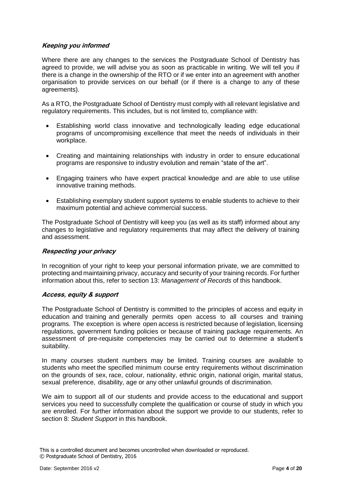### **Keeping you informed**

Where there are any changes to the services the Postgraduate School of Dentistry has agreed to provide, we will advise you as soon as practicable in writing. We will tell you if there is a change in the ownership of the RTO or if we enter into an agreement with another organisation to provide services on our behalf (or if there is a change to any of these agreements).

As a RTO, the Postgraduate School of Dentistry must comply with all relevant legislative and regulatory requirements. This includes, but is not limited to, compliance with:

- Establishing world class innovative and technologically leading edge educational programs of uncompromising excellence that meet the needs of individuals in their workplace.
- Creating and maintaining relationships with industry in order to ensure educational programs are responsive to industry evolution and remain "state of the art".
- Engaging trainers who have expert practical knowledge and are able to use utilise innovative training methods.
- Establishing exemplary student support systems to enable students to achieve to their maximum potential and achieve commercial success.

The Postgraduate School of Dentistry will keep you (as well as its staff) informed about any changes to legislative and regulatory requirements that may affect the delivery of training and assessment.

### **Respecting your privacy**

In recognition of your right to keep your personal information private, we are committed to protecting and maintaining privacy, accuracy and security of your training records. For further information about this, refer to section 13: *Management of Records* of this handbook.

### **Access, equity & support**

The Postgraduate School of Dentistry is committed to the principles of access and equity in education and training and generally permits open access to all courses and training programs. The exception is where open access is restricted because of legislation, licensing regulations, government funding policies or because of training package requirements. An assessment of pre-requisite competencies may be carried out to determine a student's suitability.

In many courses student numbers may be limited. Training courses are available to students who meet the specified minimum course entry requirements without discrimination on the grounds of sex, race, colour, nationality, ethnic origin, national origin, marital status, sexual preference, disability, age or any other unlawful grounds of discrimination.

We aim to support all of our students and provide access to the educational and support services you need to successfully complete the qualification or course of study in which you are enrolled. For further information about the support we provide to our students, refer to section 8: *Student Support* in this handbook.

This is a controlled document and becomes uncontrolled when downloaded or reproduced. © Postgraduate School of Dentistry, 2016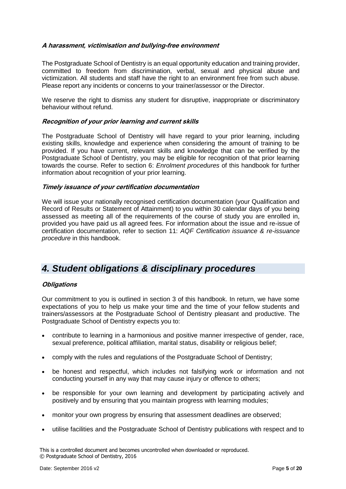### **A harassment, victimisation and bullying-free environment**

The Postgraduate School of Dentistry is an equal opportunity education and training provider, committed to freedom from discrimination, verbal, sexual and physical abuse and victimization. All students and staff have the right to an environment free from such abuse. Please report any incidents or concerns to your trainer/assessor or the Director.

We reserve the right to dismiss any student for disruptive, inappropriate or discriminatory behaviour without refund.

### **Recognition of your prior learning and current skills**

The Postgraduate School of Dentistry will have regard to your prior learning, including existing skills, knowledge and experience when considering the amount of training to be provided. If you have current, relevant skills and knowledge that can be verified by the Postgraduate School of Dentistry, you may be eligible for recognition of that prior learning towards the course. Refer to section 6: *Enrolment procedures* of this handbook for further information about recognition of your prior learning.

#### **Timely issuance of your certification documentation**

We will issue your nationally recognised certification documentation (your Qualification and Record of Results or Statement of Attainment) to you within 30 calendar days of you being assessed as meeting all of the requirements of the course of study you are enrolled in, provided you have paid us all agreed fees. For information about the issue and re-issue of certification documentation, refer to section 11: *AQF Certification issuance & re-issuance procedure* in this handbook.

### <span id="page-4-0"></span>*4. Student obligations & disciplinary procedures*

### **Obligations**

Our commitment to you is outlined in section 3 of this handbook. In return, we have some expectations of you to help us make your time and the time of your fellow students and trainers/assessors at the Postgraduate School of Dentistry pleasant and productive. The Postgraduate School of Dentistry expects you to:

- contribute to learning in a harmonious and positive manner irrespective of gender, race, sexual preference, political affiliation, marital status, disability or religious belief;
- comply with the rules and regulations of the Postgraduate School of Dentistry;
- be honest and respectful, which includes not falsifying work or information and not conducting yourself in any way that may cause injury or offence to others;
- be responsible for your own learning and development by participating actively and positively and by ensuring that you maintain progress with learning modules;
- monitor your own progress by ensuring that assessment deadlines are observed;
- utilise facilities and the Postgraduate School of Dentistry publications with respect and to

This is a controlled document and becomes uncontrolled when downloaded or reproduced. © Postgraduate School of Dentistry, 2016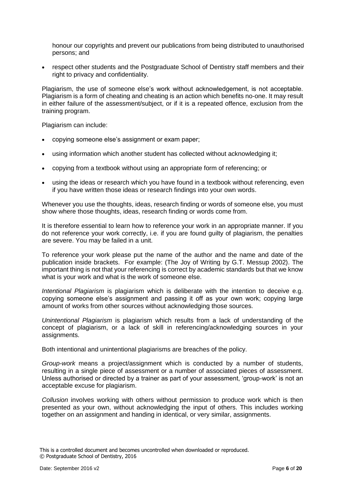honour our copyrights and prevent our publications from being distributed to unauthorised persons; and

• respect other students and the Postgraduate School of Dentistry staff members and their right to privacy and confidentiality.

Plagiarism, the use of someone else's work without acknowledgement, is not acceptable. Plagiarism is a form of cheating and cheating is an action which benefits no-one. It may result in either failure of the assessment/subject, or if it is a repeated offence, exclusion from the training program.

Plagiarism can include:

- copying someone else's assignment or exam paper;
- using information which another student has collected without acknowledging it;
- copying from a textbook without using an appropriate form of referencing; or
- using the ideas or research which you have found in a textbook without referencing, even if you have written those ideas or research findings into your own words.

Whenever you use the thoughts, ideas, research finding or words of someone else, you must show where those thoughts, ideas, research finding or words come from.

It is therefore essential to learn how to reference your work in an appropriate manner. If you do not reference your work correctly, i.e. if you are found guilty of plagiarism, the penalties are severe. You may be failed in a unit.

To reference your work please put the name of the author and the name and date of the publication inside brackets. For example: (The Joy of Writing by G.T. Messup 2002). The important thing is not that your referencing is correct by academic standards but that we know what is your work and what is the work of someone else.

*Intentional Plagiarism* is plagiarism which is deliberate with the intention to deceive e.g. copying someone else's assignment and passing it off as your own work; copying large amount of works from other sources without acknowledging those sources.

*Unintentional Plagiarism* is plagiarism which results from a lack of understanding of the concept of plagiarism, or a lack of skill in referencing/acknowledging sources in your assignments.

Both intentional and unintentional plagiarisms are breaches of the policy.

*Group-work* means a project/assignment which is conducted by a number of students, resulting in a single piece of assessment or a number of associated pieces of assessment. Unless authorised or directed by a trainer as part of your assessment, 'group-work' is not an acceptable excuse for plagiarism.

*Collusion* involves working with others without permission to produce work which is then presented as your own, without acknowledging the input of others. This includes working together on an assignment and handing in identical, or very similar, assignments.

This is a controlled document and becomes uncontrolled when downloaded or reproduced. © Postgraduate School of Dentistry, 2016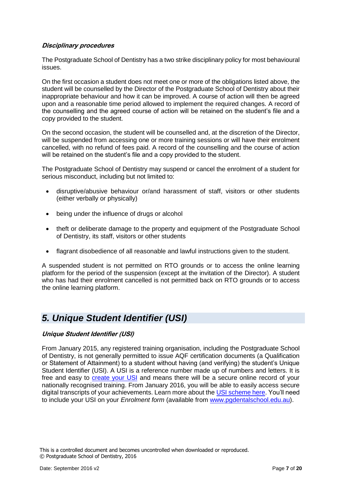### **Disciplinary procedures**

The Postgraduate School of Dentistry has a two strike disciplinary policy for most behavioural issues.

On the first occasion a student does not meet one or more of the obligations listed above, the student will be counselled by the Director of the Postgraduate School of Dentistry about their inappropriate behaviour and how it can be improved. A course of action will then be agreed upon and a reasonable time period allowed to implement the required changes. A record of the counselling and the agreed course of action will be retained on the student's file and a copy provided to the student.

On the second occasion, the student will be counselled and, at the discretion of the Director, will be suspended from accessing one or more training sessions or will have their enrolment cancelled, with no refund of fees paid. A record of the counselling and the course of action will be retained on the student's file and a copy provided to the student.

The Postgraduate School of Dentistry may suspend or cancel the enrolment of a student for serious misconduct, including but not limited to:

- disruptive/abusive behaviour or/and harassment of staff, visitors or other students (either verbally or physically)
- being under the influence of drugs or alcohol
- theft or deliberate damage to the property and equipment of the Postgraduate School of Dentistry, its staff, visitors or other students
- flagrant disobedience of all reasonable and lawful instructions given to the student.

A suspended student is not permitted on RTO grounds or to access the online learning platform for the period of the suspension (except at the invitation of the Director). A student who has had their enrolment cancelled is not permitted back on RTO grounds or to access the online learning platform.

### <span id="page-6-0"></span>*5. Unique Student Identifier (USI)*

### **Unique Student Identifier (USI)**

From January 2015, any registered training organisation, including the Postgraduate School of Dentistry, is not generally permitted to issue AQF certification documents (a Qualification or Statement of Attainment) to a student without having (and verifying) the student's Unique Student Identifier (USI). A USI is a reference number made up of numbers and letters. It is free and easy to [create your USI](http://www.usi.gov.au/create-your-USI/Pages/default.aspx) and means there will be a secure online record of your nationally recognised training. From January 2016, you will be able to easily access secure digital transcripts of your achievements. Learn more about the [USI scheme here.](http://www.usi.gov.au/Students/Pages/default.aspx) You'll need to include your USI on your *Enrolment form* (available from [www.pgdentalschool.edu.au\)](http://www.penncollege.edu.au/).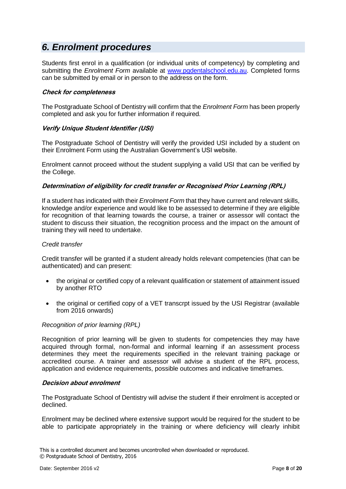### <span id="page-7-0"></span>*6. Enrolment procedures*

Students first enrol in a qualification (or individual units of competency) by completing and submitting the *Enrolment Form* available at [www.pgdentalschool.edu.au.](http://www.penncollege.edu.au/) Completed forms can be submitted by email or in person to the address on the form.

### **Check for completeness**

The Postgraduate School of Dentistry will confirm that the *Enrolment Form* has been properly completed and ask you for further information if required.

### **Verify Unique Student Identifier (USI)**

The Postgraduate School of Dentistry will verify the provided USI included by a student on their Enrolment Form using the Australian Government's USI website.

Enrolment cannot proceed without the student supplying a valid USI that can be verified by the College.

### **Determination of eligibility for credit transfer or Recognised Prior Learning (RPL)**

If a student has indicated with their *Enrolment Form* that they have current and relevant skills, knowledge and/or experience and would like to be assessed to determine if they are eligible for recognition of that learning towards the course, a trainer or assessor will contact the student to discuss their situation, the recognition process and the impact on the amount of training they will need to undertake.

### *Credit transfer*

Credit transfer will be granted if a student already holds relevant competencies (that can be authenticated) and can present:

- the original or certified copy of a relevant qualification or statement of attainment issued by another RTO
- the original or certified copy of a VET transcrpt issued by the USI Registrar (available from 2016 onwards)

### *Recognition of prior learning (RPL)*

Recognition of prior learning will be given to students for competencies they may have acquired through formal, non-formal and informal learning if an assessment process determines they meet the requirements specified in the relevant training package or accredited course. A trainer and assessor will advise a student of the RPL process, application and evidence requirements, possible outcomes and indicative timeframes.

### **Decision about enrolment**

The Postgraduate School of Dentistry will advise the student if their enrolment is accepted or declined.

Enrolment may be declined where extensive support would be required for the student to be able to participate appropriately in the training or where deficiency will clearly inhibit

This is a controlled document and becomes uncontrolled when downloaded or reproduced. © Postgraduate School of Dentistry, 2016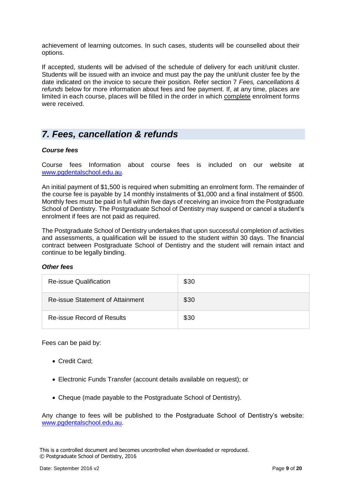achievement of learning outcomes. In such cases, students will be counselled about their options.

If accepted, students will be advised of the schedule of delivery for each unit/unit cluster. Students will be issued with an invoice and must pay the pay the unit/unit cluster fee by the date indicated on the invoice to secure their position. Refer section 7 *Fees, cancellations & refunds* below for more information about fees and fee payment. If, at any time, places are limited in each course, places will be filled in the order in which complete enrolment forms were received.

### <span id="page-8-0"></span>*7. Fees, cancellation & refunds*

### *Course fees*

Course fees Information about course fees is included on our website at [www.pgdentalschool.edu.au.](http://www.pgdentalschool.edu.au/)

An initial payment of \$1,500 is required when submitting an enrolment form. The remainder of the course fee is payable by 14 monthly instalments of \$1,000 and a final instalment of \$500. Monthly fees must be paid in full within five days of receiving an invoice from the Postgraduate School of Dentistry. The Postgraduate School of Dentistry may suspend or cancel a student's enrolment if fees are not paid as required.

The Postgraduate School of Dentistry undertakes that upon successful completion of activities and assessments, a qualification will be issued to the student within 30 days. The financial contract between Postgraduate School of Dentistry and the student will remain intact and continue to be legally binding.

### *Other fees*

| <b>Re-issue Qualification</b>    | \$30 |
|----------------------------------|------|
| Re-issue Statement of Attainment | \$30 |
| Re-issue Record of Results       | \$30 |

Fees can be paid by:

- Credit Card:
- Electronic Funds Transfer (account details available on request); or
- Cheque (made payable to the Postgraduate School of Dentistry).

Any change to fees will be published to the Postgraduate School of Dentistry's website: [www.pgdentalschool.edu.au.](http://www.pgdentalschool.edu.au/)

This is a controlled document and becomes uncontrolled when downloaded or reproduced. © Postgraduate School of Dentistry, 2016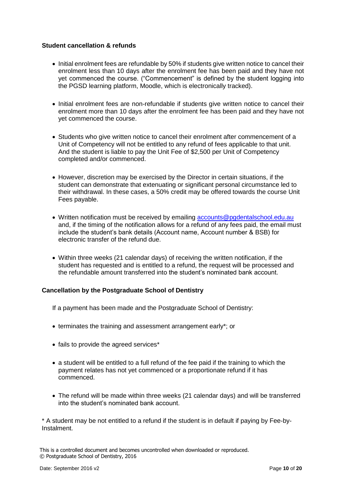### **Student cancellation & refunds**

- Initial enrolment fees are refundable by 50% if students give written notice to cancel their enrolment less than 10 days after the enrolment fee has been paid and they have not yet commenced the course. ("Commencement" is defined by the student logging into the PGSD learning platform, Moodle, which is electronically tracked).
- Initial enrolment fees are non-refundable if students give written notice to cancel their enrolment more than 10 days after the enrolment fee has been paid and they have not yet commenced the course.
- Students who give written notice to cancel their enrolment after commencement of a Unit of Competency will not be entitled to any refund of fees applicable to that unit. And the student is liable to pay the Unit Fee of \$2,500 per Unit of Competency completed and/or commenced.
- However, discretion may be exercised by the Director in certain situations, if the student can demonstrate that extenuating or significant personal circumstance led to their withdrawal. In these cases, a 50% credit may be offered towards the course Unit Fees payable.
- Written notification must be received by emailing [accounts@pgdentalschool.edu.au](mailto:accounts@pgdentalschool.edu.au) and, if the timing of the notification allows for a refund of any fees paid, the email must include the student's bank details (Account name, Account number & BSB) for electronic transfer of the refund due.
- Within three weeks (21 calendar days) of receiving the written notification, if the student has requested and is entitled to a refund, the request will be processed and the refundable amount transferred into the student's nominated bank account.

### **Cancellation by the Postgraduate School of Dentistry**

If a payment has been made and the Postgraduate School of Dentistry:

- terminates the training and assessment arrangement early\*; or
- fails to provide the agreed services\*
- a student will be entitled to a full refund of the fee paid if the training to which the payment relates has not yet commenced or a proportionate refund if it has commenced.
- The refund will be made within three weeks (21 calendar days) and will be transferred into the student's nominated bank account.

\* A student may be not entitled to a refund if the student is in default if paying by Fee-by-Instalment.

This is a controlled document and becomes uncontrolled when downloaded or reproduced. © Postgraduate School of Dentistry, 2016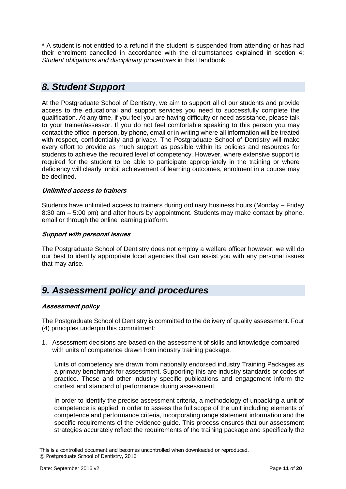**\*** A student is not entitled to a refund if the student is suspended from attending or has had their enrolment cancelled in accordance with the circumstances explained in section 4: *Student obligations and disciplinary procedures* in this Handbook.

### <span id="page-10-0"></span>*8. Student Support*

At the Postgraduate School of Dentistry, we aim to support all of our students and provide access to the educational and support services you need to successfully complete the qualification. At any time, if you feel you are having difficulty or need assistance, please talk to your trainer/assessor. If you do not feel comfortable speaking to this person you may contact the office in person, by phone, email or in writing where all information will be treated with respect, confidentiality and privacy. The Postgraduate School of Dentistry will make every effort to provide as much support as possible within its policies and resources for students to achieve the required level of competency. However, where extensive support is required for the student to be able to participate appropriately in the training or where deficiency will clearly inhibit achievement of learning outcomes, enrolment in a course may be declined.

### **Unlimited access to trainers**

Students have unlimited access to trainers during ordinary business hours (Monday – Friday 8:30 am – 5:00 pm) and after hours by appointment. Students may make contact by phone, email or through the online learning platform.

### **Support with personal issues**

The Postgraduate School of Dentistry does not employ a welfare officer however; we will do our best to identify appropriate local agencies that can assist you with any personal issues that may arise.

### <span id="page-10-1"></span>*9. Assessment policy and procedures*

### **Assessment policy**

The Postgraduate School of Dentistry is committed to the delivery of quality assessment. Four (4) principles underpin this commitment:

1. Assessment decisions are based on the assessment of skills and knowledge compared with units of competence drawn from industry training package.

Units of competency are drawn from nationally endorsed industry Training Packages as a primary benchmark for assessment. Supporting this are industry standards or codes of practice. These and other industry specific publications and engagement inform the context and standard of performance during assessment.

In order to identify the precise assessment criteria, a methodology of unpacking a unit of competence is applied in order to assess the full scope of the unit including elements of competence and performance criteria, incorporating range statement information and the specific requirements of the evidence guide. This process ensures that our assessment strategies accurately reflect the requirements of the training package and specifically the

This is a controlled document and becomes uncontrolled when downloaded or reproduced. © Postgraduate School of Dentistry, 2016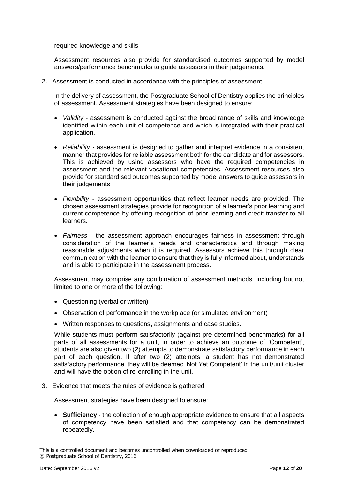required knowledge and skills.

Assessment resources also provide for standardised outcomes supported by model answers/performance benchmarks to guide assessors in their judgements.

2. Assessment is conducted in accordance with the principles of assessment

In the delivery of assessment, the Postgraduate School of Dentistry applies the principles of assessment. Assessment strategies have been designed to ensure:

- *Validity -* assessment is conducted against the broad range of skills and knowledge identified within each unit of competence and which is integrated with their practical application.
- *Reliability -* assessment is designed to gather and interpret evidence in a consistent manner that provides for reliable assessment both for the candidate and for assessors. This is achieved by using assessors who have the required competencies in assessment and the relevant vocational competencies. Assessment resources also provide for standardised outcomes supported by model answers to guide assessors in their judgements.
- *Flexibility -* assessment opportunities that reflect learner needs are provided. The chosen assessment strategies provide for recognition of a learner's prior learning and current competence by offering recognition of prior learning and credit transfer to all learners.
- *Fairness -* the assessment approach encourages fairness in assessment through consideration of the learner's needs and characteristics and through making reasonable adjustments when it is required. Assessors achieve this through clear communication with the learner to ensure that they is fully informed about, understands and is able to participate in the assessment process.

Assessment may comprise any combination of assessment methods, including but not limited to one or more of the following:

- Questioning (verbal or written)
- Observation of performance in the workplace (or simulated environment)
- Written responses to questions, assignments and case studies.

While students must perform satisfactorily (against pre-determined benchmarks) for all parts of all assessments for a unit, in order to achieve an outcome of 'Competent', students are also given two (2) attempts to demonstrate satisfactory performance in each part of each question. If after two (2) attempts, a student has not demonstrated satisfactory performance, they will be deemed 'Not Yet Competent' in the unit/unit cluster and will have the option of re-enrolling in the unit.

3. Evidence that meets the rules of evidence is gathered

Assessment strategies have been designed to ensure:

 **Sufficiency** - the collection of enough appropriate evidence to ensure that all aspects of competency have been satisfied and that competency can be demonstrated repeatedly.

This is a controlled document and becomes uncontrolled when downloaded or reproduced. © Postgraduate School of Dentistry, 2016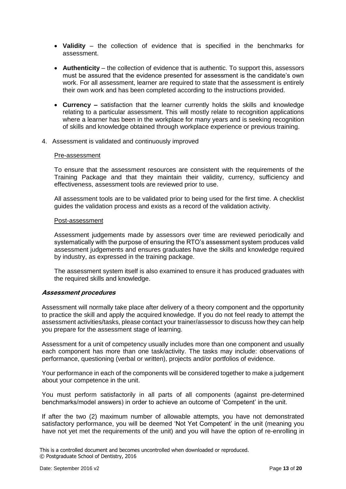- **Validity** the collection of evidence that is specified in the benchmarks for assessment.
- **Authenticity**  the collection of evidence that is authentic. To support this, assessors must be assured that the evidence presented for assessment is the candidate's own work. For all assessment, learner are required to state that the assessment is entirely their own work and has been completed according to the instructions provided.
- **Currency –** satisfaction that the learner currently holds the skills and knowledge relating to a particular assessment. This will mostly relate to recognition applications where a learner has been in the workplace for many years and is seeking recognition of skills and knowledge obtained through workplace experience or previous training.
- 4. Assessment is validated and continuously improved

### Pre-assessment

To ensure that the assessment resources are consistent with the requirements of the Training Package and that they maintain their validity, currency, sufficiency and effectiveness, assessment tools are reviewed prior to use.

All assessment tools are to be validated prior to being used for the first time. A checklist guides the validation process and exists as a record of the validation activity.

### Post-assessment

Assessment judgements made by assessors over time are reviewed periodically and systematically with the purpose of ensuring the RTO's assessment system produces valid assessment judgements and ensures graduates have the skills and knowledge required by industry, as expressed in the training package.

The assessment system itself is also examined to ensure it has produced graduates with the required skills and knowledge.

### **Assessment procedures**

Assessment will normally take place after delivery of a theory component and the opportunity to practice the skill and apply the acquired knowledge. If you do not feel ready to attempt the assessment activities/tasks, please contact your trainer/assessor to discuss how they can help you prepare for the assessment stage of learning.

Assessment for a unit of competency usually includes more than one component and usually each component has more than one task/activity. The tasks may include: observations of performance, questioning (verbal or written), projects and/or portfolios of evidence.

Your performance in each of the components will be considered together to make a judgement about your competence in the unit.

You must perform satisfactorily in all parts of all components (against pre-determined benchmarks/model answers) in order to achieve an outcome of 'Competent' in the unit.

If after the two (2) maximum number of allowable attempts, you have not demonstrated satisfactory performance, you will be deemed 'Not Yet Competent' in the unit (meaning you have not yet met the requirements of the unit) and you will have the option of re-enrolling in

This is a controlled document and becomes uncontrolled when downloaded or reproduced. © Postgraduate School of Dentistry, 2016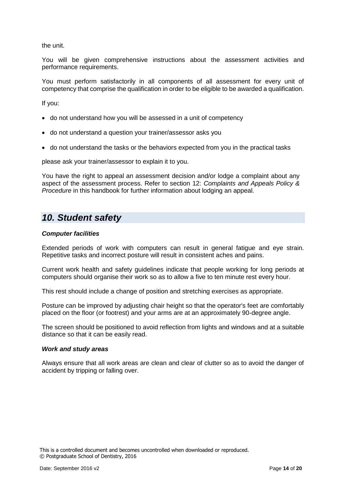the unit.

You will be given comprehensive instructions about the assessment activities and performance requirements.

You must perform satisfactorily in all components of all assessment for every unit of competency that comprise the qualification in order to be eligible to be awarded a qualification.

If you:

- do not understand how you will be assessed in a unit of competency
- do not understand a question your trainer/assessor asks you
- do not understand the tasks or the behaviors expected from you in the practical tasks

please ask your trainer/assessor to explain it to you.

You have the right to appeal an assessment decision and/or lodge a complaint about any aspect of the assessment process. Refer to section 12: *Complaints and Appeals Policy & Procedure* in this handbook for further information about lodging an appeal.

### <span id="page-13-0"></span>*10. Student safety*

### *Computer facilities*

Extended periods of work with computers can result in general fatigue and eye strain. Repetitive tasks and incorrect posture will result in consistent aches and pains.

Current work health and safety guidelines indicate that people working for long periods at computers should organise their work so as to allow a five to ten minute rest every hour.

This rest should include a change of position and stretching exercises as appropriate.

Posture can be improved by adjusting chair height so that the operator's feet are comfortably placed on the floor (or footrest) and your arms are at an approximately 90-degree angle.

The screen should be positioned to avoid reflection from lights and windows and at a suitable distance so that it can be easily read.

### *Work and study areas*

Always ensure that all work areas are clean and clear of clutter so as to avoid the danger of accident by tripping or falling over.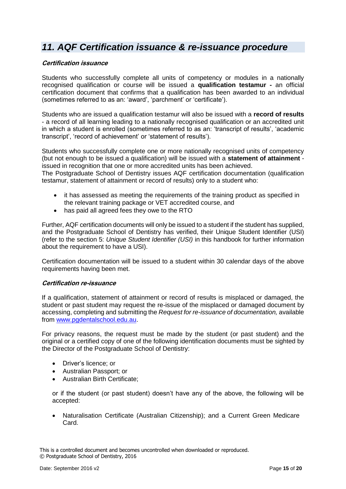### <span id="page-14-0"></span>*11. AQF Certification issuance & re-issuance procedure*

### **Certification issuance**

Students who successfully complete all units of competency or modules in a nationally recognised qualification or course will be issued a **qualification testamur -** an official certification document that confirms that a qualification has been awarded to an individual (sometimes referred to as an: 'award', 'parchment' or 'certificate').

Students who are issued a qualification testamur will also be issued with a **record of results** - a record of all learning leading to a nationally recognised qualification or an accredited unit in which a student is enrolled (sometimes referred to as an: 'transcript of results', 'academic transcript', 'record of achievement' or 'statement of results').

Students who successfully complete one or more nationally recognised units of competency (but not enough to be issued a qualification) will be issued with a **statement of attainment** issued in recognition that one or more accredited units has been achieved.

The Postgraduate School of Dentistry issues AQF certification documentation (qualification testamur, statement of attainment or record of results) only to a student who:

- it has assessed as meeting the requirements of the training product as specified in the relevant training package or VET accredited course, and
- has paid all agreed fees they owe to the RTO

Further, AQF certification documents will only be issued to a student if the student has supplied, and the Postgraduate School of Dentistry has verified, their Unique Student Identifier (USI) (refer to the section 5: *Unique Student Identifier (USI)* in this handbook for further information about the requirement to have a USI).

Certification documentation will be issued to a student within 30 calendar days of the above requirements having been met.

### **Certification re-issuance**

If a qualification, statement of attainment or record of results is misplaced or damaged, the student or past student may request the re-issue of the misplaced or damaged document by accessing, completing and submitting the *Request for re-issuance of documentation,* available from [www.pgdentalschool.edu.au.](http://www.penncollege.edu.au/)

For privacy reasons, the request must be made by the student (or past student) and the original or a certified copy of one of the following identification documents must be sighted by the Director of the Postgraduate School of Dentistry:

- Driver's licence: or
- Australian Passport; or
- Australian Birth Certificate;

or if the student (or past student) doesn't have any of the above, the following will be accepted:

 Naturalisation Certificate (Australian Citizenship); and a Current Green Medicare Card.

This is a controlled document and becomes uncontrolled when downloaded or reproduced. © Postgraduate School of Dentistry, 2016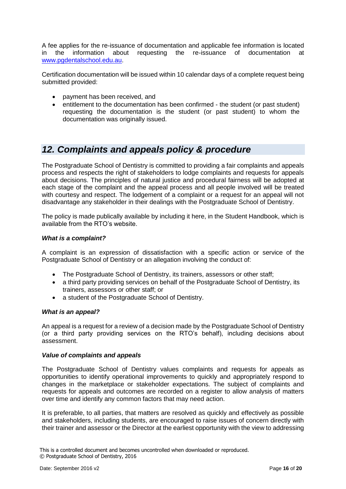A fee applies for the re-issuance of documentation and applicable fee information is located in the information about requesting the re-issuance of documentation at [www.pgdentalschool.edu.au.](http://www.penncollege.edu.au/)

Certification documentation will be issued within 10 calendar days of a complete request being submitted provided:

- payment has been received, and
- entitlement to the documentation has been confirmed the student (or past student) requesting the documentation is the student (or past student) to whom the documentation was originally issued.

### <span id="page-15-0"></span>*12. Complaints and appeals policy & procedure*

The Postgraduate School of Dentistry is committed to providing a fair complaints and appeals process and respects the right of stakeholders to lodge complaints and requests for appeals about decisions. The principles of natural justice and procedural fairness will be adopted at each stage of the complaint and the appeal process and all people involved will be treated with courtesy and respect. The lodgement of a complaint or a request for an appeal will not disadvantage any stakeholder in their dealings with the Postgraduate School of Dentistry.

The policy is made publically available by including it here, in the Student Handbook, which is available from the RTO's website.

### *What is a complaint?*

A complaint is an expression of dissatisfaction with a specific action or service of the Postgraduate School of Dentistry or an allegation involving the conduct of:

- The Postgraduate School of Dentistry, its trainers, assessors or other staff;
- a third party providing services on behalf of the Postgraduate School of Dentistry, its trainers, assessors or other staff; or
- a student of the Postgraduate School of Dentistry.

### *What is an appeal?*

An appeal is a request for a review of a decision made by the Postgraduate School of Dentistry (or a third party providing services on the RTO's behalf), including decisions about assessment.

### *Value of complaints and appeals*

The Postgraduate School of Dentistry values complaints and requests for appeals as opportunities to identify operational improvements to quickly and appropriately respond to changes in the marketplace or stakeholder expectations. The subject of complaints and requests for appeals and outcomes are recorded on a register to allow analysis of matters over time and identify any common factors that may need action.

It is preferable, to all parties, that matters are resolved as quickly and effectively as possible and stakeholders, including students, are encouraged to raise issues of concern directly with their trainer and assessor or the Director at the earliest opportunity with the view to addressing

This is a controlled document and becomes uncontrolled when downloaded or reproduced. © Postgraduate School of Dentistry, 2016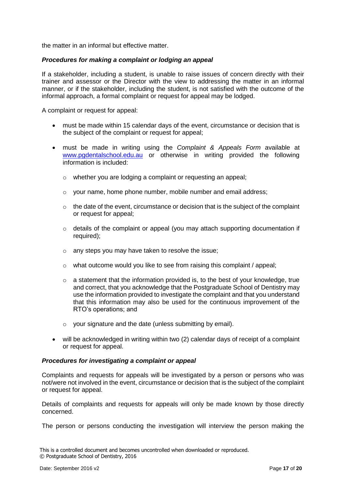the matter in an informal but effective matter.

### *Procedures for making a complaint or lodging an appeal*

If a stakeholder, including a student, is unable to raise issues of concern directly with their trainer and assessor or the Director with the view to addressing the matter in an informal manner, or if the stakeholder, including the student, is not satisfied with the outcome of the informal approach, a formal complaint or request for appeal may be lodged.

A complaint or request for appeal:

- must be made within 15 calendar days of the event, circumstance or decision that is the subject of the complaint or request for appeal;
- must be made in writing using the *Complaint & Appeals Form* available at [www.pgdentalschool.edu.au](http://www.penncollege.edu.au/) or otherwise in writing provided the following information is included:
	- o whether you are lodging a complaint or requesting an appeal;
	- $\circ$  your name, home phone number, mobile number and email address;
	- o the date of the event, circumstance or decision that is the subject of the complaint or request for appeal;
	- o details of the complaint or appeal (you may attach supporting documentation if required);
	- o any steps you may have taken to resolve the issue;
	- $\circ$  what outcome would you like to see from raising this complaint / appeal:
	- o a statement that the information provided is, to the best of your knowledge, true and correct, that you acknowledge that the Postgraduate School of Dentistry may use the information provided to investigate the complaint and that you understand that this information may also be used for the continuous improvement of the RTO's operations; and
	- $\circ$  vour signature and the date (unless submitting by email).
- will be acknowledged in writing within two (2) calendar days of receipt of a complaint or request for appeal.

#### *Procedures for investigating a complaint or appeal*

Complaints and requests for appeals will be investigated by a person or persons who was not/were not involved in the event, circumstance or decision that is the subject of the complaint or request for appeal.

Details of complaints and requests for appeals will only be made known by those directly concerned.

The person or persons conducting the investigation will interview the person making the

This is a controlled document and becomes uncontrolled when downloaded or reproduced. © Postgraduate School of Dentistry, 2016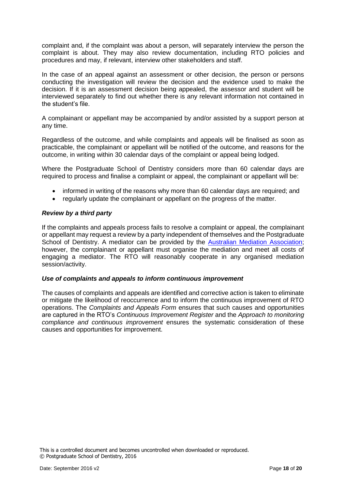complaint and, if the complaint was about a person, will separately interview the person the complaint is about. They may also review documentation, including RTO policies and procedures and may, if relevant, interview other stakeholders and staff.

In the case of an appeal against an assessment or other decision, the person or persons conducting the investigation will review the decision and the evidence used to make the decision. If it is an assessment decision being appealed, the assessor and student will be interviewed separately to find out whether there is any relevant information not contained in the student's file.

A complainant or appellant may be accompanied by and/or assisted by a support person at any time.

Regardless of the outcome, and while complaints and appeals will be finalised as soon as practicable, the complainant or appellant will be notified of the outcome, and reasons for the outcome, in writing within 30 calendar days of the complaint or appeal being lodged.

Where the Postgraduate School of Dentistry considers more than 60 calendar days are required to process and finalise a complaint or appeal, the complainant or appellant will be:

- informed in writing of the reasons why more than 60 calendar days are required; and
- regularly update the complainant or appellant on the progress of the matter.

### *Review by a third party*

If the complaints and appeals process fails to resolve a complaint or appeal, the complainant or appellant may request a review by a party independent of themselves and the Postgraduate School of Dentistry. A mediator can be provided by the [Australian Mediation Association;](http://www.ama.asn.au/commercial-and-business-mediation/) however, the complainant or appellant must organise the mediation and meet all costs of engaging a mediator. The RTO will reasonably cooperate in any organised mediation session/activity.

### *Use of complaints and appeals to inform continuous improvement*

The causes of complaints and appeals are identified and corrective action is taken to eliminate or mitigate the likelihood of reoccurrence and to inform the continuous improvement of RTO operations. The *Complaints and Appeals Form* ensures that such causes and opportunities are captured in the RTO's *Continuous Improvement Register* and the *Approach to monitoring compliance and continuous improvement* ensures the systematic consideration of these causes and opportunities for improvement.

This is a controlled document and becomes uncontrolled when downloaded or reproduced. © Postgraduate School of Dentistry, 2016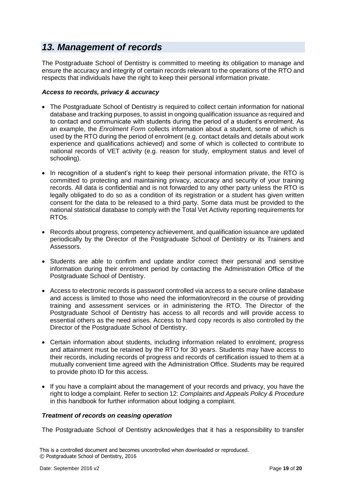### <span id="page-18-0"></span>*13. Management of records*

The Postgraduate School of Dentistry is committed to meeting its obligation to manage and ensure the accuracy and integrity of certain records relevant to the operations of the RTO and respects that individuals have the right to keep their personal information private.

### *Access to records, privacy & accuracy*

- The Postgraduate School of Dentistry is required to collect certain information for national database and tracking purposes, to assist in ongoing qualification issuance as required and to contact and communicate with students during the period of a student's enrolment. As an example, the *Enrolment Form* collects information about a student, some of which is used by the RTO during the period of enrolment (e.g. contact details and details about work experience and qualifications achieved) and some of which is collected to contribute to national records of VET activity (e.g. reason for study, employment status and level of schooling).
- In recognition of a student's right to keep their personal information private, the RTO is committed to protecting and maintaining privacy, accuracy and security of your training records. All data is confidential and is not forwarded to any other party unless the RTO is legally obligated to do so as a condition of its registration or a student has given written consent for the data to be released to a third party. Some data must be provided to the national statistical database to comply with the Total Vet Activity reporting requirements for RTOs.
- Records about progress, competency achievement, and qualification issuance are updated periodically by the Director of the Postgraduate School of Dentistry or its Trainers and Assessors.
- Students are able to confirm and update and/or correct their personal and sensitive information during their enrolment period by contacting the Administration Office of the Postgraduate School of Dentistry.
- Access to electronic records is password controlled via access to a secure online database and access is limited to those who need the information/record in the course of providing training and assessment services or in administering the RTO. The Director of the Postgraduate School of Dentistry has access to all records and will provide access to essential others as the need arises. Access to hard copy records is also controlled by the Director of the Postgraduate School of Dentistry.
- Certain information about students, including information related to enrolment, progress and attainment must be retained by the RTO for 30 years. Students may have access to their records, including records of progress and records of certification issued to them at a mutually convenient time agreed with the Administration Office. Students may be required to provide photo ID for this access.
- If you have a complaint about the management of your records and privacy, you have the right to lodge a complaint. Refer to section 12: *Complaints and Appeals Policy & Procedure* in this handbook for further information about lodging a complaint.

### *Treatment of records on ceasing operation*

The Postgraduate School of Dentistry acknowledges that it has a responsibility to transfer

This is a controlled document and becomes uncontrolled when downloaded or reproduced. © Postgraduate School of Dentistry, 2016